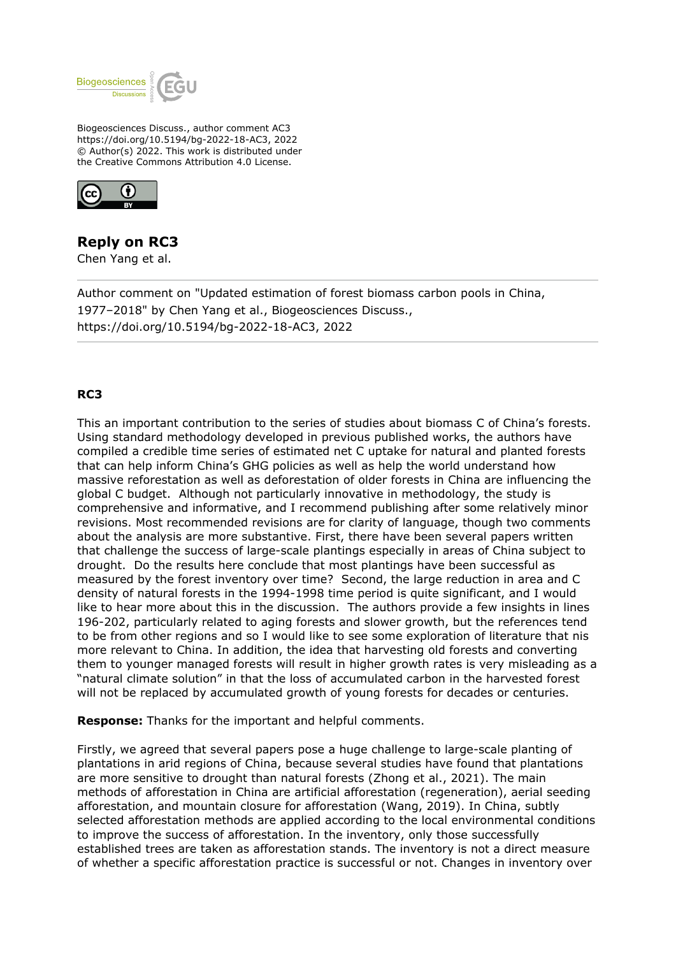

Biogeosciences Discuss., author comment AC3 https://doi.org/10.5194/bg-2022-18-AC3, 2022 © Author(s) 2022. This work is distributed under the Creative Commons Attribution 4.0 License.



## **Reply on RC3**

Chen Yang et al.

Author comment on "Updated estimation of forest biomass carbon pools in China, 1977–2018" by Chen Yang et al., Biogeosciences Discuss., https://doi.org/10.5194/bg-2022-18-AC3, 2022

## **RC3**

This an important contribution to the series of studies about biomass C of China's forests. Using standard methodology developed in previous published works, the authors have compiled a credible time series of estimated net C uptake for natural and planted forests that can help inform China's GHG policies as well as help the world understand how massive reforestation as well as deforestation of older forests in China are influencing the global C budget. Although not particularly innovative in methodology, the study is comprehensive and informative, and I recommend publishing after some relatively minor revisions. Most recommended revisions are for clarity of language, though two comments about the analysis are more substantive. First, there have been several papers written that challenge the success of large-scale plantings especially in areas of China subject to drought. Do the results here conclude that most plantings have been successful as measured by the forest inventory over time? Second, the large reduction in area and C density of natural forests in the 1994-1998 time period is quite significant, and I would like to hear more about this in the discussion. The authors provide a few insights in lines 196-202, particularly related to aging forests and slower growth, but the references tend to be from other regions and so I would like to see some exploration of literature that nis more relevant to China. In addition, the idea that harvesting old forests and converting them to younger managed forests will result in higher growth rates is very misleading as a "natural climate solution" in that the loss of accumulated carbon in the harvested forest will not be replaced by accumulated growth of young forests for decades or centuries.

**Response:** Thanks for the important and helpful comments.

Firstly, we agreed that several papers pose a huge challenge to large-scale planting of plantations in arid regions of China, because several studies have found that plantations are more sensitive to drought than natural forests (Zhong et al., 2021). The main methods of afforestation in China are artificial afforestation (regeneration), aerial seeding afforestation, and mountain closure for afforestation (Wang, 2019). In China, subtly selected afforestation methods are applied according to the local environmental conditions to improve the success of afforestation. In the inventory, only those successfully established trees are taken as afforestation stands. The inventory is not a direct measure of whether a specific afforestation practice is successful or not. Changes in inventory over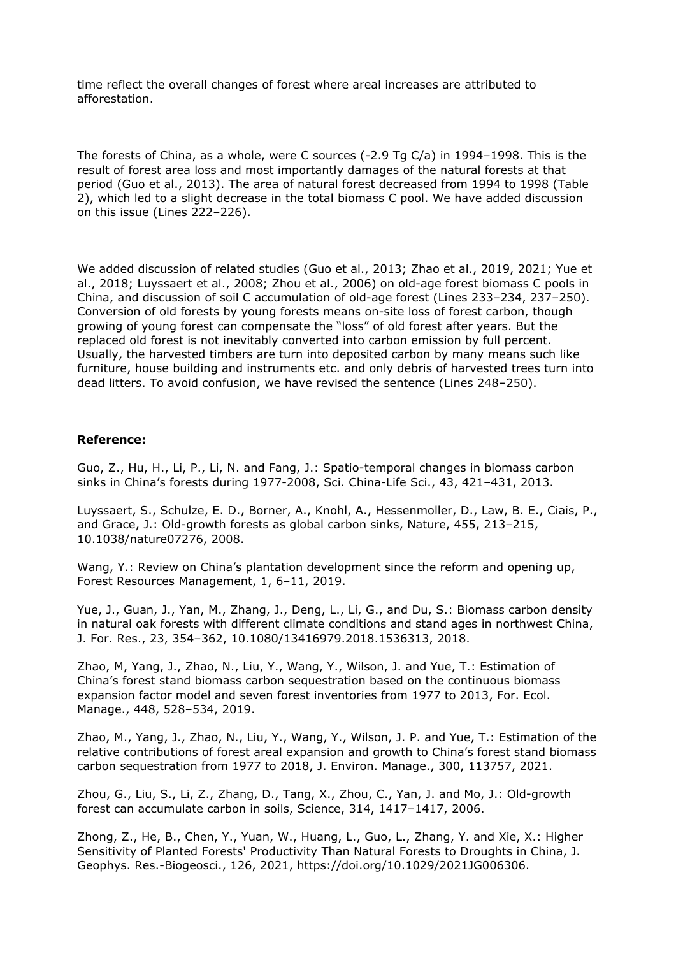time reflect the overall changes of forest where areal increases are attributed to afforestation.

The forests of China, as a whole, were C sources (-2.9 Tg C/a) in 1994–1998. This is the result of forest area loss and most importantly damages of the natural forests at that period (Guo et al., 2013). The area of natural forest decreased from 1994 to 1998 (Table 2), which led to a slight decrease in the total biomass C pool. We have added discussion on this issue (Lines 222–226).

We added discussion of related studies (Guo et al., 2013; Zhao et al., 2019, 2021; Yue et al., 2018; Luyssaert et al., 2008; Zhou et al., 2006) on old-age forest biomass C pools in China, and discussion of soil C accumulation of old-age forest (Lines 233–234, 237–250). Conversion of old forests by young forests means on-site loss of forest carbon, though growing of young forest can compensate the "loss" of old forest after years. But the replaced old forest is not inevitably converted into carbon emission by full percent. Usually, the harvested timbers are turn into deposited carbon by many means such like furniture, house building and instruments etc. and only debris of harvested trees turn into dead litters. To avoid confusion, we have revised the sentence (Lines 248–250).

## **Reference:**

Guo, Z., Hu, H., Li, P., Li, N. and Fang, J.: Spatio-temporal changes in biomass carbon sinks in China's forests during 1977-2008, Sci. China-Life Sci., 43, 421–431, 2013.

Luyssaert, S., Schulze, E. D., Borner, A., Knohl, A., Hessenmoller, D., Law, B. E., Ciais, P., and Grace, J.: Old-growth forests as global carbon sinks, Nature, 455, 213–215, 10.1038/nature07276, 2008.

Wang, Y.: Review on China's plantation development since the reform and opening up, Forest Resources Management, 1, 6–11, 2019.

Yue, J., Guan, J., Yan, M., Zhang, J., Deng, L., Li, G., and Du, S.: Biomass carbon density in natural oak forests with different climate conditions and stand ages in northwest China, J. For. Res., 23, 354–362, 10.1080/13416979.2018.1536313, 2018.

Zhao, M, Yang, J., Zhao, N., Liu, Y., Wang, Y., Wilson, J. and Yue, T.: Estimation of China's forest stand biomass carbon sequestration based on the continuous biomass expansion factor model and seven forest inventories from 1977 to 2013, For. Ecol. Manage., 448, 528–534, 2019.

Zhao, M., Yang, J., Zhao, N., Liu, Y., Wang, Y., Wilson, J. P. and Yue, T.: Estimation of the relative contributions of forest areal expansion and growth to China's forest stand biomass carbon sequestration from 1977 to 2018, J. Environ. Manage., 300, 113757, 2021.

Zhou, G., Liu, S., Li, Z., Zhang, D., Tang, X., Zhou, C., Yan, J. and Mo, J.: Old-growth forest can accumulate carbon in soils, Science, 314, 1417–1417, 2006.

Zhong, Z., He, B., Chen, Y., Yuan, W., Huang, L., Guo, L., Zhang, Y. and Xie, X.: Higher Sensitivity of Planted Forests' Productivity Than Natural Forests to Droughts in China, J. Geophys. Res.-Biogeosci., 126, 2021, https://doi.org/10.1029/2021JG006306.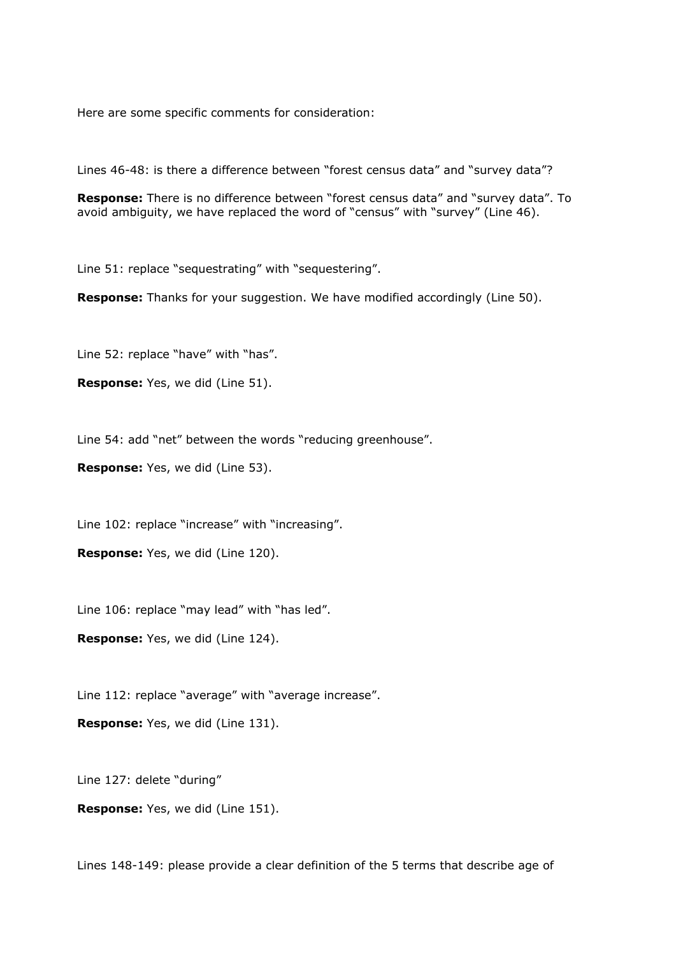Here are some specific comments for consideration:

Lines 46-48; is there a difference between "forest census data" and "survey data"?

**Response:** There is no difference between "forest census data" and "survey data". To avoid ambiguity, we have replaced the word of "census" with "survey" (Line 46).

Line 51: replace "sequestrating" with "sequestering".

**Response:** Thanks for your suggestion. We have modified accordingly (Line 50).

Line 52: replace "have" with "has".

**Response:** Yes, we did (Line 51).

Line 54: add "net" between the words "reducing greenhouse".

**Response:** Yes, we did (Line 53).

Line 102: replace "increase" with "increasing".

**Response:** Yes, we did (Line 120).

Line 106: replace "may lead" with "has led".

**Response:** Yes, we did (Line 124).

Line 112: replace "average" with "average increase".

**Response:** Yes, we did (Line 131).

Line 127: delete "during"

**Response:** Yes, we did (Line 151).

Lines 148-149: please provide a clear definition of the 5 terms that describe age of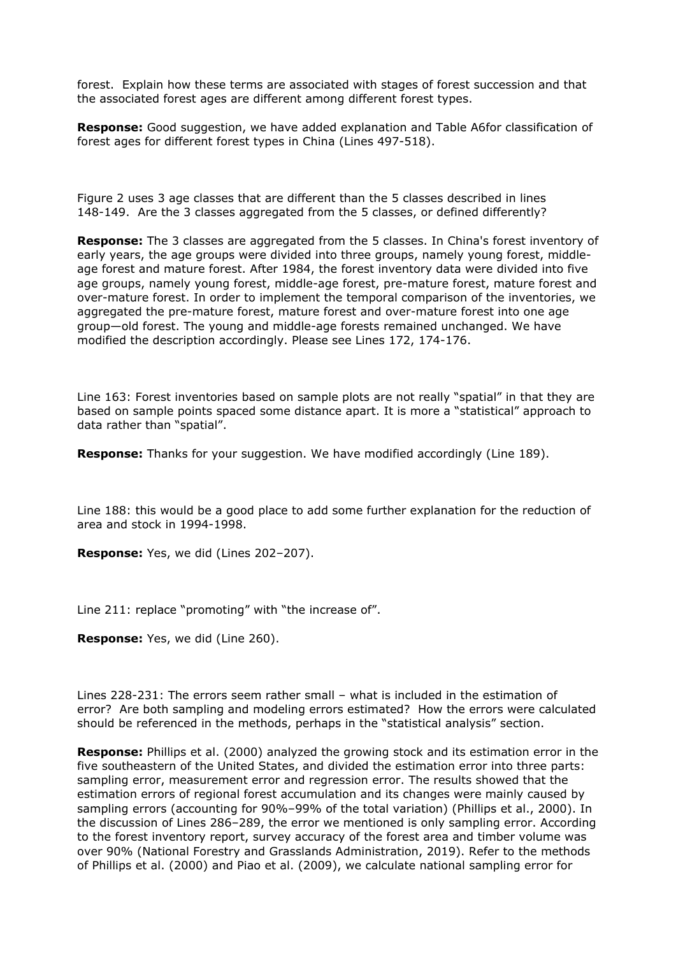forest. Explain how these terms are associated with stages of forest succession and that the associated forest ages are different among different forest types.

**Response:** Good suggestion, we have added explanation and Table A6for classification of forest ages for different forest types in China (Lines 497-518).

Figure 2 uses 3 age classes that are different than the 5 classes described in lines 148-149. Are the 3 classes aggregated from the 5 classes, or defined differently?

**Response:** The 3 classes are aggregated from the 5 classes. In China's forest inventory of early years, the age groups were divided into three groups, namely young forest, middleage forest and mature forest. After 1984, the forest inventory data were divided into five age groups, namely young forest, middle-age forest, pre-mature forest, mature forest and over-mature forest. In order to implement the temporal comparison of the inventories, we aggregated the pre-mature forest, mature forest and over-mature forest into one age group—old forest. The young and middle-age forests remained unchanged. We have modified the description accordingly. Please see Lines 172, 174-176.

Line 163: Forest inventories based on sample plots are not really "spatial" in that they are based on sample points spaced some distance apart. It is more a "statistical" approach to data rather than "spatial".

**Response:** Thanks for your suggestion. We have modified accordingly (Line 189).

Line 188: this would be a good place to add some further explanation for the reduction of area and stock in 1994-1998.

**Response:** Yes, we did (Lines 202–207).

Line 211: replace "promoting" with "the increase of".

**Response:** Yes, we did (Line 260).

Lines 228-231: The errors seem rather small – what is included in the estimation of error? Are both sampling and modeling errors estimated? How the errors were calculated should be referenced in the methods, perhaps in the "statistical analysis" section.

**Response:** Phillips et al. (2000) analyzed the growing stock and its estimation error in the five southeastern of the United States, and divided the estimation error into three parts: sampling error, measurement error and regression error. The results showed that the estimation errors of regional forest accumulation and its changes were mainly caused by sampling errors (accounting for 90%–99% of the total variation) (Phillips et al., 2000). In the discussion of Lines 286–289, the error we mentioned is only sampling error. According to the forest inventory report, survey accuracy of the forest area and timber volume was over 90% (National Forestry and Grasslands Administration, 2019). Refer to the methods of Phillips et al. (2000) and Piao et al. (2009), we calculate national sampling error for